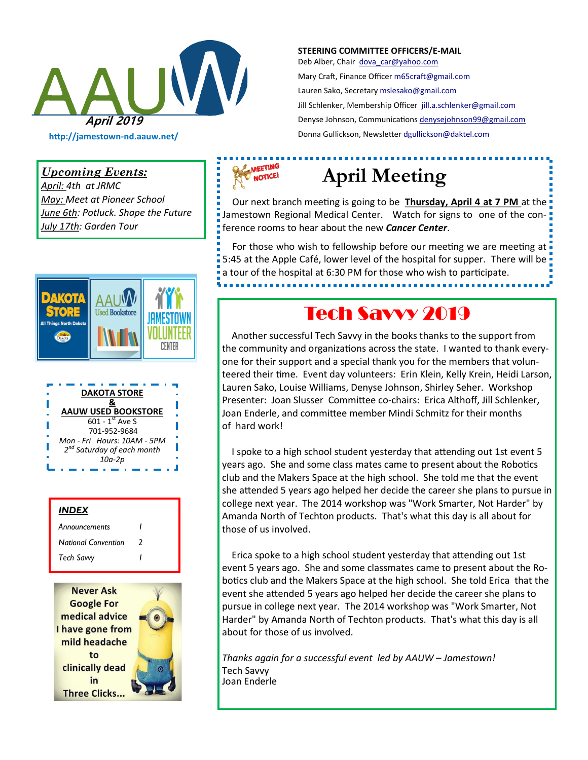

#### **STEERING COMMITTEE OFFICERS/E-MAIL**

Deb Alber, Chair [dova\\_car@yahoo.com](mailto:dova_car@yahoo.com) Mary Craft, Finance Officer [m65craft@gmail.com](mailto:m65craft@gmail.com) Lauren Sako, Secretary [mslesako@gmail.com](mailto:mslesako@gmail.com) Jill Schlenker, Membership Officer [jill.a.schlenker@gmail.com](mailto:jill.a.schlenker@gmail.com) Denyse Johnson, Communications [denysejohnson99@gmail.com](mailto:denysejohnson99@gmail.com)  Donna Gullickson, Newsletter [dgullickson@daktel.com](mailto:dgullickson@daktel.com)

*Upcoming Events:* 

*April: 4th at JRMC May: Meet at Pioneer School June 6th: Potluck. Shape the Future July 17th: Garden Tour*









### MEETING **NOTICE!**

# **April Meeting**

 Our next branch meeting is going to be **Thursday, April 4 at 7 PM** at the Jamestown Regional Medical Center. Watch for signs to one of the conference rooms to hear about the new *Cancer Center*.

 For those who wish to fellowship before our meeting we are meeting at 5:45 at the Apple Café, lower level of the hospital for supper. There will be a tour of the hospital at 6:30 PM for those who wish to participate.

## Tech Savvy 2019

 Another successful Tech Savvy in the books thanks to the support from the community and organizations across the state. I wanted to thank everyone for their support and a special thank you for the members that volunteered their time. Event day volunteers: Erin Klein, Kelly Krein, Heidi Larson, Lauren Sako, Louise Williams, Denyse Johnson, Shirley Seher. Workshop Presenter: Joan Slusser Committee co-chairs: Erica Althoff, Jill Schlenker, Joan Enderle, and committee member Mindi Schmitz for their months of hard work!

 I spoke to a high school student yesterday that attending out 1st event 5 years ago. She and some class mates came to present about the Robotics club and the Makers Space at the high school. She told me that the event she attended 5 years ago helped her decide the career she plans to pursue in college next year. The 2014 workshop was "Work Smarter, Not Harder" by Amanda North of Techton products. That's what this day is all about for those of us involved.

 Erica spoke to a high school student yesterday that attending out 1st event 5 years ago. She and some classmates came to present about the Robotics club and the Makers Space at the high school. She told Erica that the event she attended 5 years ago helped her decide the career she plans to pursue in college next year. The 2014 workshop was "Work Smarter, Not Harder" by Amanda North of Techton products. That's what this day is all about for those of us involved.

*Thanks again for a successful event led by AAUW – Jamestown!* Tech Savvy Joan Enderle